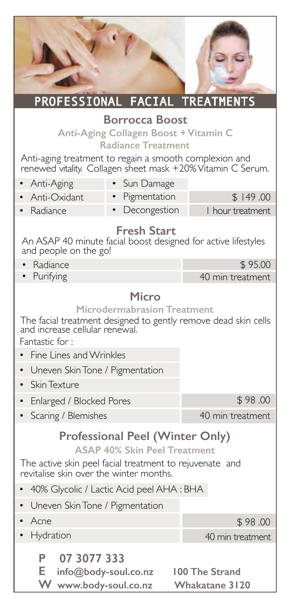| PROFESSIONAL FACIAL TREATMENTS                                                                                                                                                                                                                                      |                                                             |  |
|---------------------------------------------------------------------------------------------------------------------------------------------------------------------------------------------------------------------------------------------------------------------|-------------------------------------------------------------|--|
| <b>Borrocca Boost</b><br>Anti-Aging Collagen Boost + Vitamin C<br><b>Radiance Treatment</b><br>Anti-aging treatment to regain a smooth complexion and<br>renewed vitality. Collagen sheet mask +20% Vitamin C Serum.                                                |                                                             |  |
| Anti-Aging<br>$\bullet$<br>Sun Damage                                                                                                                                                                                                                               |                                                             |  |
| Pigmentation<br>Anti-Oxidant                                                                                                                                                                                                                                        | \$149.00                                                    |  |
| • Radiance<br>Decongestion                                                                                                                                                                                                                                          | I hour treatment                                            |  |
| <b>Fresh Start</b><br>An ASAP 40 minute facial boost designed for active lifestyles<br>and people on the go!                                                                                                                                                        |                                                             |  |
| Radiance                                                                                                                                                                                                                                                            | \$95.00                                                     |  |
| Purifying                                                                                                                                                                                                                                                           | 40 min treatment                                            |  |
| Microdermabrasion Treatment<br>The facial treatment designed to gently remove dead skin cells<br>and increase cellular renewal.<br>Fantastic for:<br>Fine Lines and Wrinkles<br>Uneven Skin Tone / Pigmentation<br>Skin Texture                                     |                                                             |  |
| Enlarged / Blocked Pores                                                                                                                                                                                                                                            | \$98.00                                                     |  |
| Scaring / Blemishes                                                                                                                                                                                                                                                 | 40 min treatment                                            |  |
| <b>Professional Peel (Winter Only)</b><br><b>ASAP 40% Skin Peel Treatment</b><br>The active skin peel facial treatment to rejuvenate and<br>revitalise skin over the winter months.<br>40% Glycolic / Lactic Acid peel AHA : BHA<br>Uneven Skin Tone / Pigmentation |                                                             |  |
| Acne                                                                                                                                                                                                                                                                | \$98.00                                                     |  |
| Hydration<br>07 3077 333<br>Р<br>Е<br>info@body-soul.co.nz<br>W<br>www.body-soul.co.nz                                                                                                                                                                              | 40 min treatment<br>100 The Strand<br><b>Whakatane 3120</b> |  |